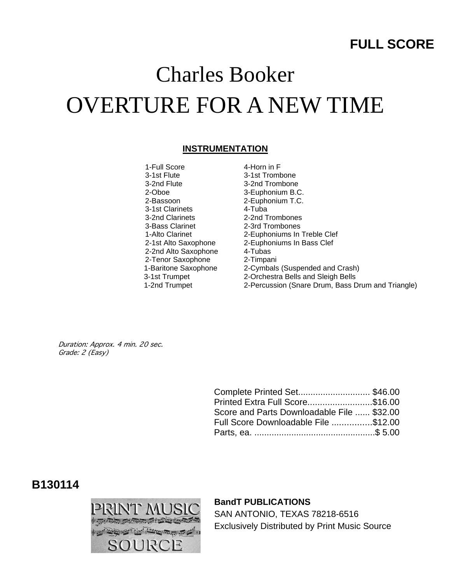### **FULL SCORE**

# Charles Booker OVERTURE FOR A NEW TIME

#### **INSTRUMENTATION**

1-Full Score 4-Horn in F 3-1st Flute 3-1st Trombone 3-2nd Flute 3-2nd Trombone 2-Oboe 3-Euphonium B.C. 2-Bassoon 2-Euphonium T.C. 3-1st Clarinets 4-Tuba 3-2nd Clarinets 2-2nd Trombones 3-Bass Clarinet 2-3rd Trombones 2-2nd Alto Saxophone 2-Tenor Saxophone 2-Timpani

1-Alto Clarinet 2-Euphoniums In Treble Clef 2-1st Alto Saxophone 2-Euphoniums In Bass Clef<br>2-2nd Alto Saxophone 4-Tubas 1-Baritone Saxophone 2-Cymbals (Suspended and Crash) 3-1st Trumpet 2-Orchestra Bells and Sleigh Bells<br>1-2nd Trumpet 2-Percussion (Snare Drum, Bass D 2-Percussion (Snare Drum, Bass Drum and Triangle)

 Duration: Approx. 4 min. 20 sec. Grade: 2 (Easy)

| Complete Printed Set\$46.00                |  |
|--------------------------------------------|--|
| Printed Extra Full Score\$16.00            |  |
| Score and Parts Downloadable File  \$32.00 |  |
| Full Score Downloadable File \$12.00       |  |
|                                            |  |

### **B130114**



### **BandT PUBLICATIONS**

SAN ANTONIO, TEXAS 78218-6516 Exclusively Distributed by Print Music Source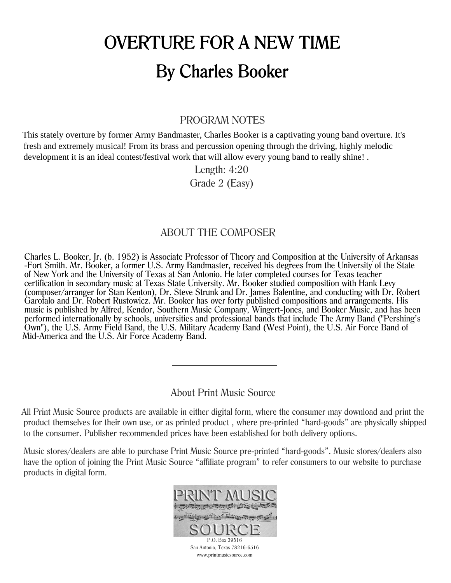## OVERTURE FOR A NEW TIME By Charles Booker

### PROGRAM NOTES

This stately overture by former Army Bandmaster, Charles Booker is a captivating young band overture. It's fresh and extremely musical! From its brass and percussion opening through the driving, highly melodic development it is an ideal contest/festival work that will allow every young band to really shine! .

> Length: 4:20 Grade 2 (Easy)

#### ABOUT THE COMPOSER

Charles L. Booker, Jr. (b. 1952) is Associate Professor of Theory and Composition at the University of Arkansas -Fort Smith. Mr. Booker, a former U.S. Army Bandmaster, received his degrees from the University of the State of New York and the University of Texas at San Antonio. He later completed courses for Texas teacher certification in secondary music at Texas State University. Mr. Booker studied composition with Hank Levy (composer/arranger for Stan Kenton), Dr. Steve Strunk and Dr. James Balentine, and conducting with Dr. Robert Garofalo and Dr. Robert Rustowicz. Mr. Booker has over forty published compositions and arrangements. His music is published by Alfred, Kendor, Southern Music Company, Wingert-Jones, and Booker Music, and has been performed internationally by schools, universities and professional bands that include The Army Band ("Pershing's Own"), the U.S. Army Field Band, the U.S. Military Academy Band (West Point), the U.S. Air Force Band of Mid-America and the U.S. Air Force Academy Band.

About Print Music Source

All Print Music Source products are available in either digital form, where the consumer may download and print the product themselves for their own use, or as printed product , where pre-printed "hard-goods" are physically shipped to the consumer. Publisher recommended prices have been established for both delivery options.

Music stores/dealers are able to purchase Print Music Source pre-printed "hard-goods". Music stores/dealers also have the option of joining the Print Music Source "affiliate program" to refer consumers to our website to purchase products in digital form.

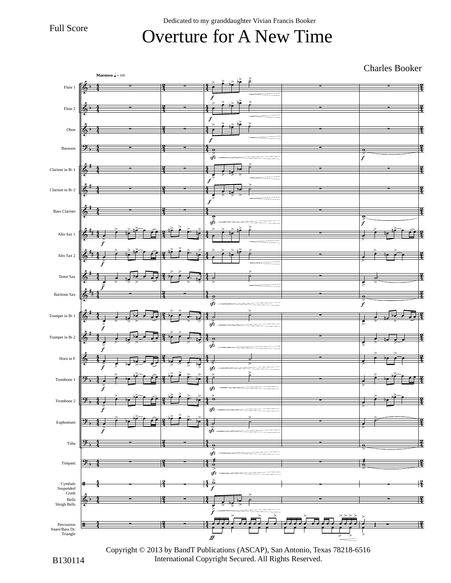### Overture for A New Time

Charles Booker



Copyright © 2013 by BandT Publications (ASCAP), San Antonio, Texas 78218-6516 International Copyright Secured. All Rights Reserved.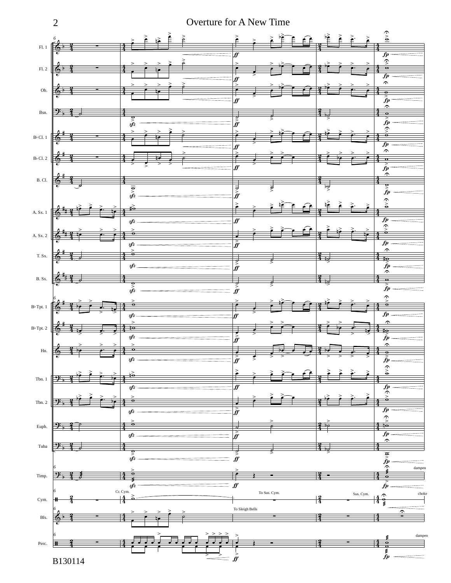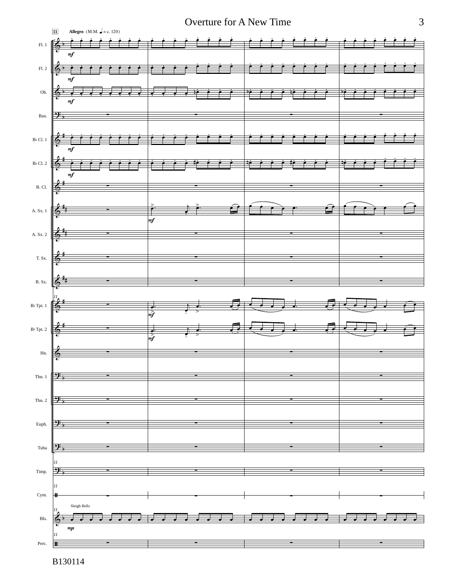

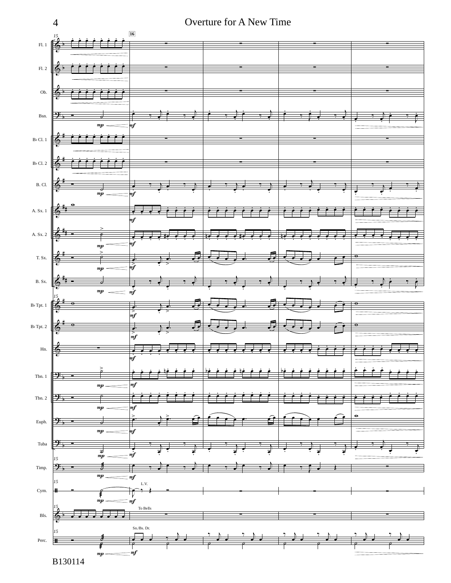

### Overture for A New Time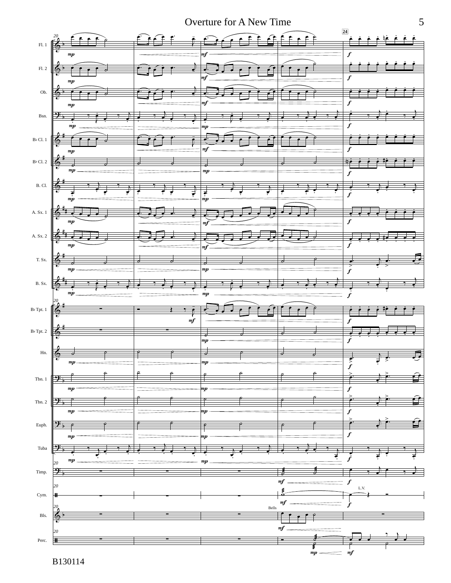Overture for A New Time

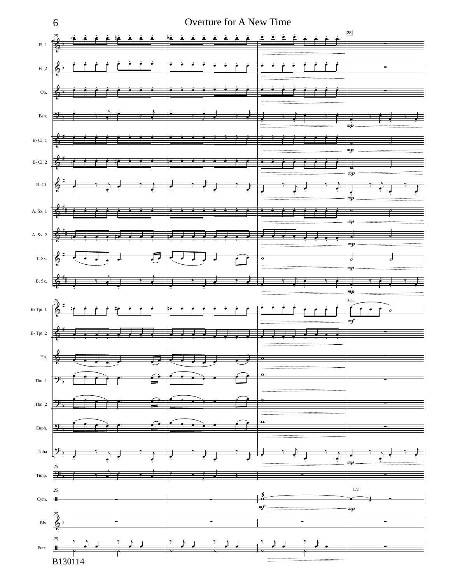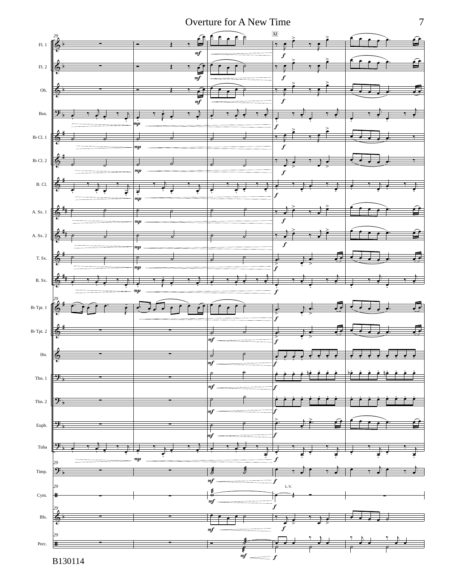Overture for A New Time 7

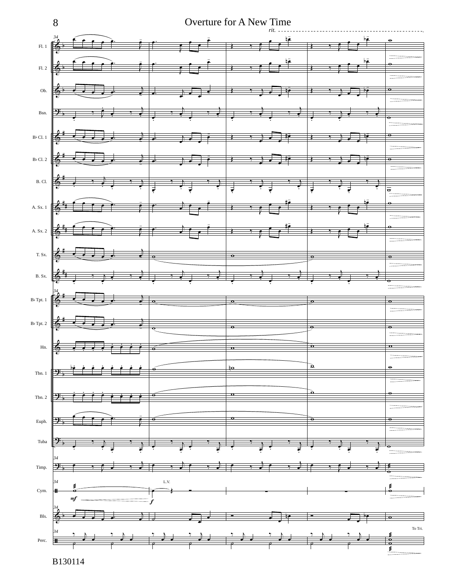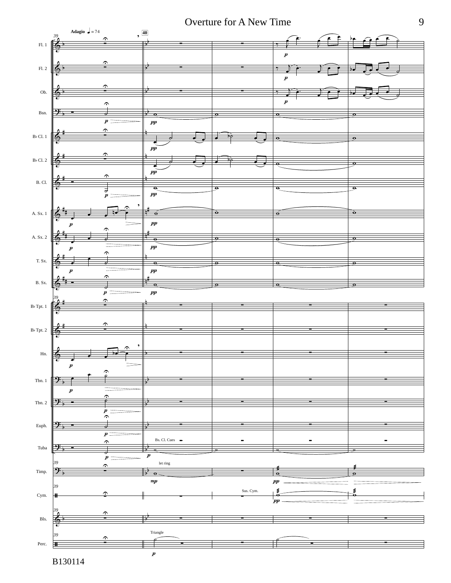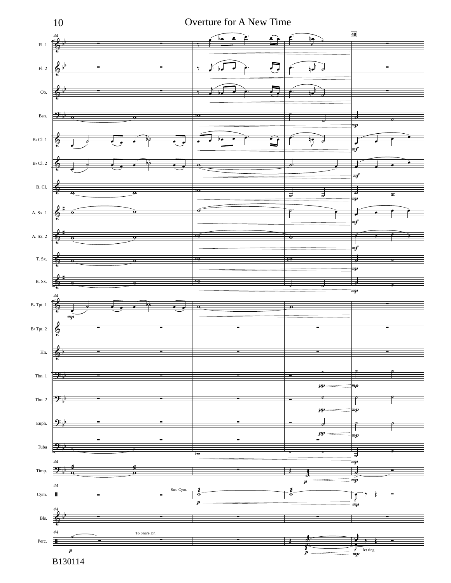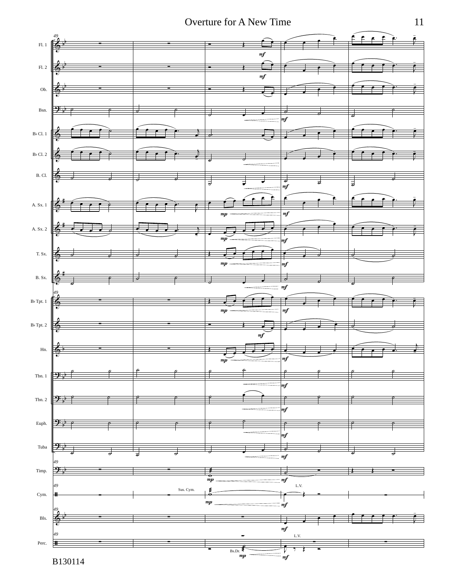Overture for A New Time 11

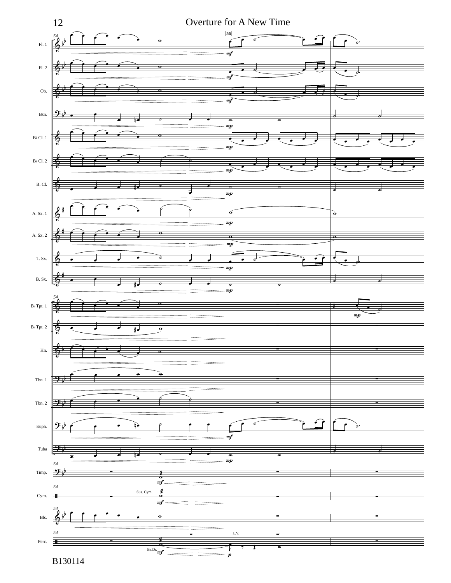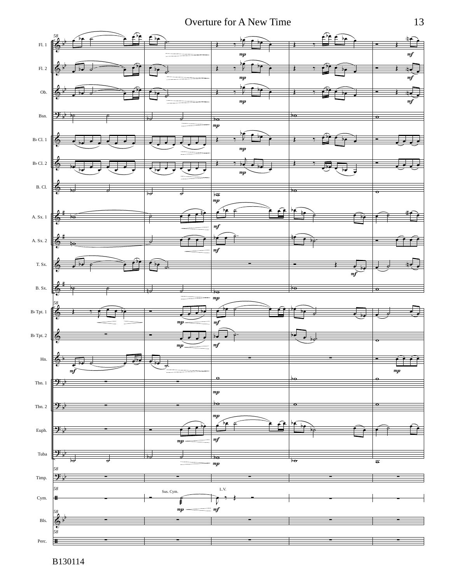Overture for A New Time 13

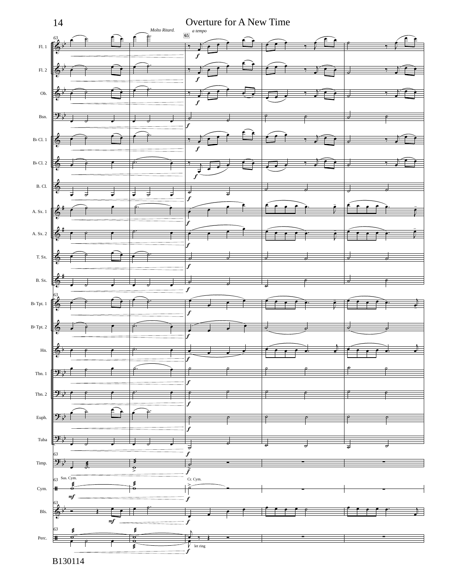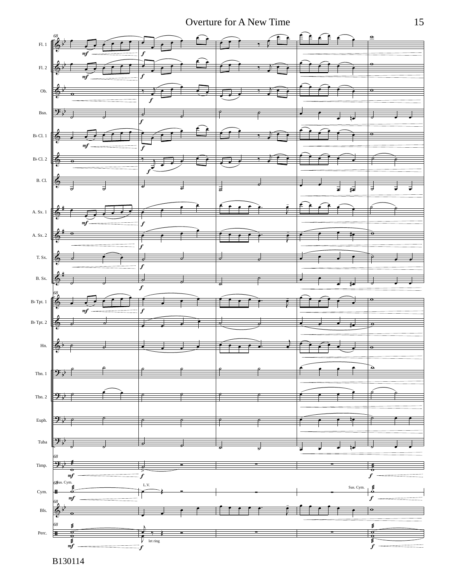Overture for A New Time 15

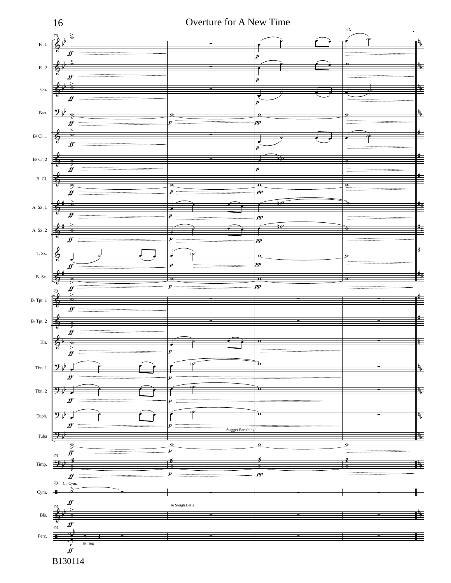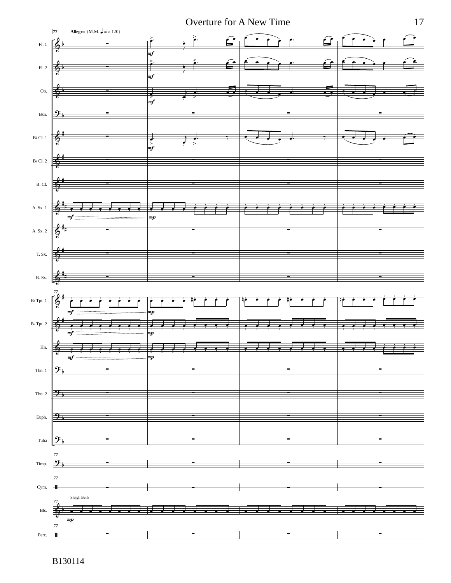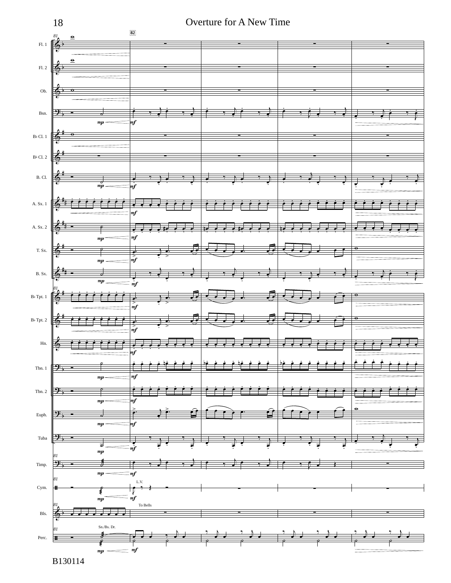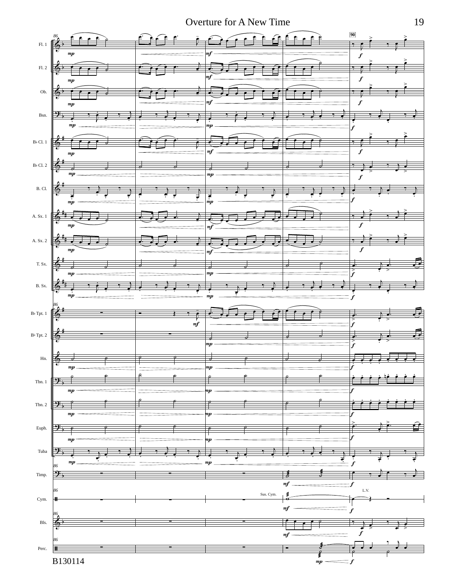Overture for A New Time 19

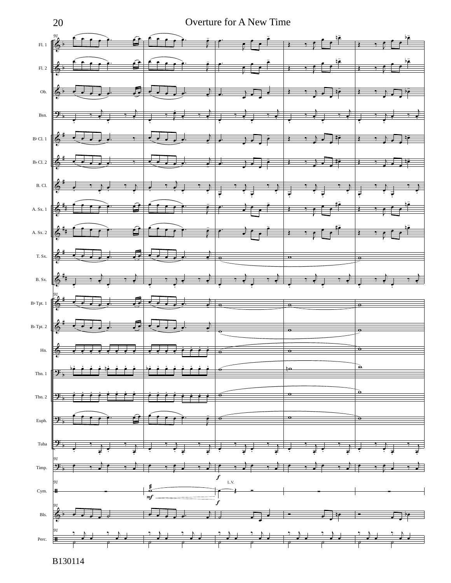